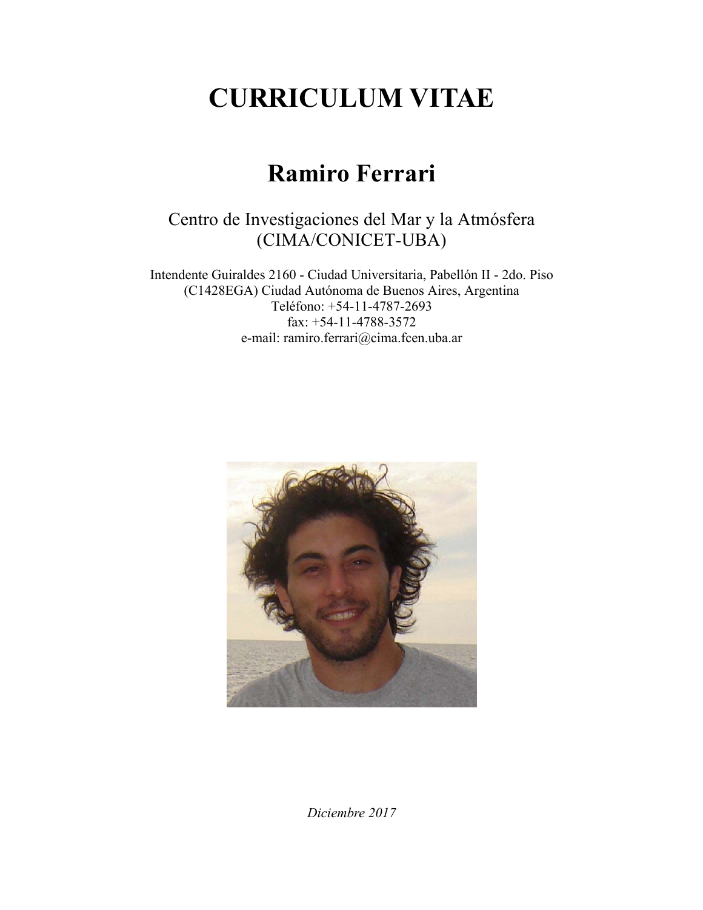# **CURRICULUM VITAE**

## **Ramiro Ferrari**

## Centro de Investigaciones del Mar y la Atmósfera (CIMA/CONICET-UBA)

Intendente Guiraldes 2160 - Ciudad Universitaria, Pabellón II - 2do. Piso (C1428EGA) Ciudad Autónoma de Buenos Aires, Argentina Teléfono: +54-11-4787-2693 fax: +54-11-4788-3572 e-mail: ramiro.ferrari@cima.fcen.uba.ar



*Diciembre 2017*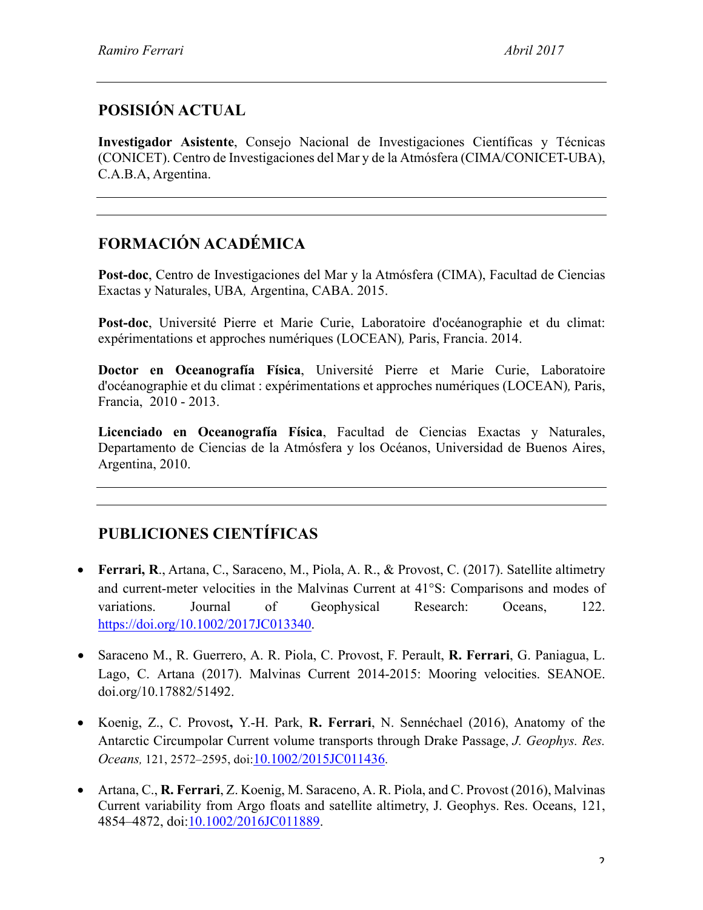## **POSISIÓN ACTUAL**

**Investigador Asistente**, Consejo Nacional de Investigaciones Científicas y Técnicas (CONICET). Centro de Investigaciones del Mar y de la Atmósfera (CIMA/CONICET-UBA), C.A.B.A, Argentina.

## **FORMACIÓN ACADÉMICA**

**Post-doc**, Centro de Investigaciones del Mar y la Atmósfera (CIMA), Facultad de Ciencias Exactas y Naturales, UBA*,* Argentina, CABA. 2015.

**Post-doc**, Université Pierre et Marie Curie, Laboratoire d'océanographie et du climat: expérimentations et approches numériques (LOCEAN)*,* Paris, Francia. 2014.

**Doctor en Oceanografía Física**, Université Pierre et Marie Curie, Laboratoire d'océanographie et du climat : expérimentations et approches numériques (LOCEAN)*,* Paris, Francia, 2010 - 2013.

**Licenciado en Oceanografía Física**, Facultad de Ciencias Exactas y Naturales, Departamento de Ciencias de la Atmósfera y los Océanos, Universidad de Buenos Aires, Argentina, 2010.

## **PUBLICIONES CIENTÍFICAS**

- **Ferrari, R**., Artana, C., Saraceno, M., Piola, A. R., & Provost, C. (2017). Satellite altimetry and current-meter velocities in the Malvinas Current at 41°S: Comparisons and modes of variations. Journal of Geophysical Research: Oceans, 122. https://doi.org/10.1002/2017JC013340.
- Saraceno M., R. Guerrero, A. R. Piola, C. Provost, F. Perault, **R. Ferrari**, G. Paniagua, L. Lago, C. Artana (2017). Malvinas Current 2014-2015: Mooring velocities. SEANOE. doi.org/10.17882/51492.
- Koenig, Z., C. Provost**,** Y.-H. Park, **R. Ferrari**, N. Sennéchael (2016), Anatomy of the Antarctic Circumpolar Current volume transports through Drake Passage, *J. Geophys. Res. Oceans,* 121, 2572–2595, doi:10.1002/2015JC011436.
- Artana, C., **R. Ferrari**, Z. Koenig, M. Saraceno, A. R. Piola, and C. Provost (2016), Malvinas Current variability from Argo floats and satellite altimetry, J. Geophys. Res. Oceans, 121, 4854–4872, doi:10.1002/2016JC011889.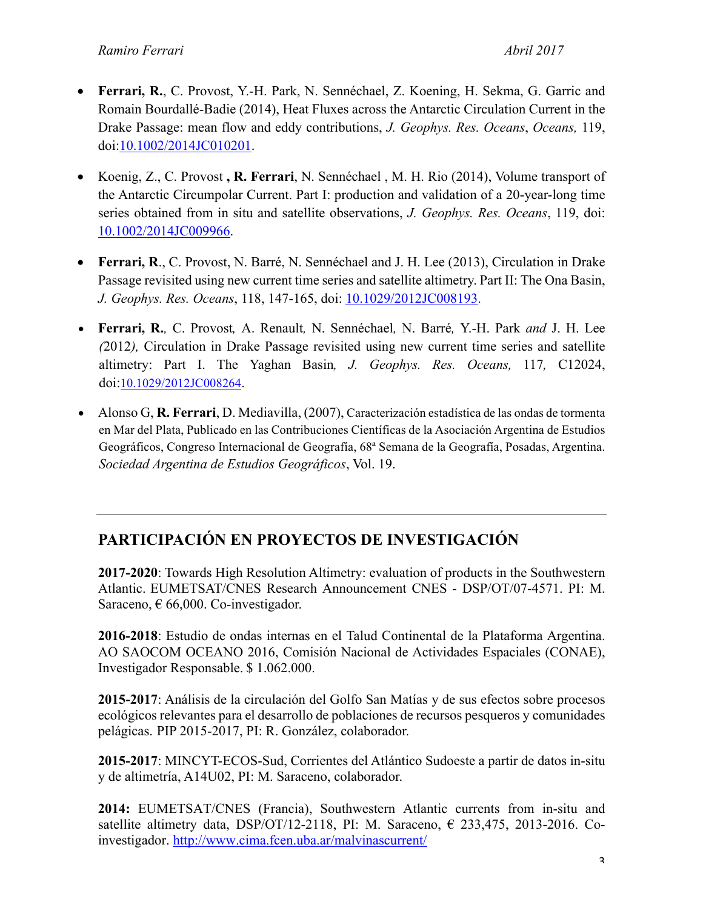- **Ferrari, R.**, C. Provost, Y.-H. Park, N. Sennéchael, Z. Koening, H. Sekma, G. Garric and Romain Bourdallé-Badie (2014), Heat Fluxes across the Antarctic Circulation Current in the Drake Passage: mean flow and eddy contributions, *J. Geophys. Res. Oceans*, *Oceans,* 119, doi:10.1002/2014JC010201.
- Koenig, Z., C. Provost **, R. Ferrari**, N. Sennéchael , M. H. Rio (2014), Volume transport of the Antarctic Circumpolar Current. Part I: production and validation of a 20-year-long time series obtained from in situ and satellite observations, *J. Geophys. Res. Oceans*, 119, doi: 10.1002/2014JC009966.
- **Ferrari, R**., C. Provost, N. Barré, N. Sennéchael and J. H. Lee (2013), Circulation in Drake Passage revisited using new current time series and satellite altimetry. Part II: The Ona Basin, *J. Geophys. Res. Oceans*, 118, 147-165, doi: 10.1029/2012JC008193.
- **Ferrari, R.***,* C. Provost*,* A. Renault*,* N. Sennéchael*,* N. Barré*,* Y.-H. Park *and* J. H. Lee *(*2012*),* Circulation in Drake Passage revisited using new current time series and satellite altimetry: Part I. The Yaghan Basin*, J. Geophys. Res. Oceans,* 117*,* C12024, doi:10.1029/2012JC008264.
- Alonso G, **R. Ferrari**, D. Mediavilla, (2007), Caracterización estadística de las ondas de tormenta en Mar del Plata, Publicado en las Contribuciones Científicas de la Asociación Argentina de Estudios Geográficos, Congreso Internacional de Geografía, 68ª Semana de la Geografía, Posadas, Argentina. *Sociedad Argentina de Estudios Geográficos*, Vol. 19.

### **PARTICIPACIÓN EN PROYECTOS DE INVESTIGACIÓN**

**2017-2020**: Towards High Resolution Altimetry: evaluation of products in the Southwestern Atlantic. EUMETSAT/CNES Research Announcement CNES - DSP/OT/07-4571. PI: M. Saraceno,  $\epsilon$  66,000. Co-investigador.

**2016-2018**: Estudio de ondas internas en el Talud Continental de la Plataforma Argentina. AO SAOCOM OCEANO 2016, Comisión Nacional de Actividades Espaciales (CONAE), Investigador Responsable. \$ 1.062.000.

**2015-2017**: Análisis de la circulación del Golfo San Matías y de sus efectos sobre procesos ecológicos relevantes para el desarrollo de poblaciones de recursos pesqueros y comunidades pelágicas. PIP 2015-2017, PI: R. González, colaborador.

**2015-2017**: MINCYT-ECOS-Sud, Corrientes del Atlántico Sudoeste a partir de datos in-situ y de altimetría, A14U02, PI: M. Saraceno, colaborador.

**2014:** EUMETSAT/CNES (Francia), Southwestern Atlantic currents from in-situ and satellite altimetry data, DSP/OT/12-2118, PI: M. Saraceno,  $\epsilon$  233,475, 2013-2016. Coinvestigador. http://www.cima.fcen.uba.ar/malvinascurrent/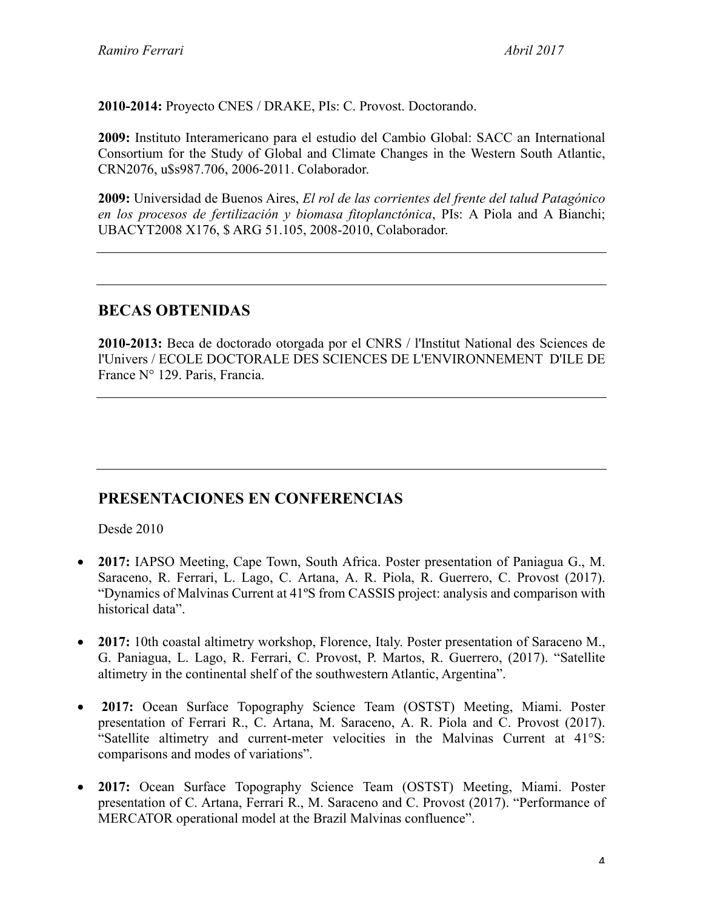**2010-2014:** Proyecto CNES / DRAKE, PIs: C. Provost. Doctorando.

**2009:** Instituto Interamericano para el estudio del Cambio Global: SACC an International Consortium for the Study of Global and Climate Changes in the Western South Atlantic, CRN2076, u\$s987.706, 2006-2011. Colaborador.

**2009:** Universidad de Buenos Aires, *El rol de las corrientes del frente del talud Patagónico en los procesos de fertilización y biomasa fitoplanctónica*, PIs: A Piola and A Bianchi; UBACYT2008 X176, \$ ARG 51.105, 2008-2010, Colaborador.

#### **BECAS OBTENIDAS**

**2010-2013:** Beca de doctorado otorgada por el CNRS / l'Institut National des Sciences de l'Univers / ECOLE DOCTORALE DES SCIENCES DE L'ENVIRONNEMENT D'ILE DE France N° 129. Paris, Francia.

#### **PRESENTACIONES EN CONFERENCIAS**

Desde 2010

- **2017:** IAPSO Meeting, Cape Town, South Africa. Poster presentation of Paniagua G., M. Saraceno, R. Ferrari, L. Lago, C. Artana, A. R. Piola, R. Guerrero, C. Provost (2017). "Dynamics of Malvinas Current at 41ºS from CASSIS project: analysis and comparison with historical data".
- **2017:** 10th coastal altimetry workshop, Florence, Italy. Poster presentation of Saraceno M., G. Paniagua, L. Lago, R. Ferrari, C. Provost, P. Martos, R. Guerrero, (2017). "Satellite altimetry in the continental shelf of the southwestern Atlantic, Argentina".
- **2017:** Ocean Surface Topography Science Team (OSTST) Meeting, Miami. Poster presentation of Ferrari R., C. Artana, M. Saraceno, A. R. Piola and C. Provost (2017). "Satellite altimetry and current-meter velocities in the Malvinas Current at 41°S: comparisons and modes of variations".
- **2017:** Ocean Surface Topography Science Team (OSTST) Meeting, Miami. Poster presentation of C. Artana, Ferrari R., M. Saraceno and C. Provost (2017). "Performance of MERCATOR operational model at the Brazil Malvinas confluence".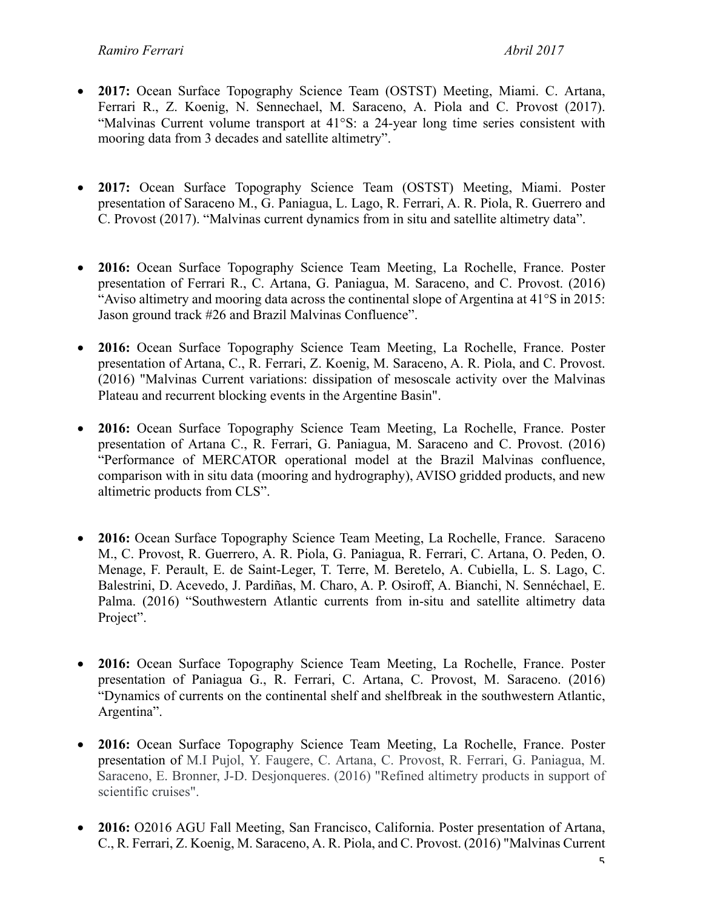- **2017:** Ocean Surface Topography Science Team (OSTST) Meeting, Miami. C. Artana, Ferrari R., Z. Koenig, N. Sennechael, M. Saraceno, A. Piola and C. Provost (2017). "Malvinas Current volume transport at 41°S: a 24-year long time series consistent with mooring data from 3 decades and satellite altimetry".
- **2017:** Ocean Surface Topography Science Team (OSTST) Meeting, Miami. Poster presentation of Saraceno M., G. Paniagua, L. Lago, R. Ferrari, A. R. Piola, R. Guerrero and C. Provost (2017). "Malvinas current dynamics from in situ and satellite altimetry data".
- **2016:** Ocean Surface Topography Science Team Meeting, La Rochelle, France. Poster presentation of Ferrari R., C. Artana, G. Paniagua, M. Saraceno, and C. Provost. (2016) "Aviso altimetry and mooring data across the continental slope of Argentina at 41°S in 2015: Jason ground track #26 and Brazil Malvinas Confluence".
- **2016:** Ocean Surface Topography Science Team Meeting, La Rochelle, France. Poster presentation of Artana, C., R. Ferrari, Z. Koenig, M. Saraceno, A. R. Piola, and C. Provost. (2016) "Malvinas Current variations: dissipation of mesoscale activity over the Malvinas Plateau and recurrent blocking events in the Argentine Basin".
- **2016:** Ocean Surface Topography Science Team Meeting, La Rochelle, France. Poster presentation of Artana C., R. Ferrari, G. Paniagua, M. Saraceno and C. Provost. (2016) "Performance of MERCATOR operational model at the Brazil Malvinas confluence, comparison with in situ data (mooring and hydrography), AVISO gridded products, and new altimetric products from CLS".
- **2016:** Ocean Surface Topography Science Team Meeting, La Rochelle, France. Saraceno M., C. Provost, R. Guerrero, A. R. Piola, G. Paniagua, R. Ferrari, C. Artana, O. Peden, O. Menage, F. Perault, E. de Saint-Leger, T. Terre, M. Beretelo, A. Cubiella, L. S. Lago, C. Balestrini, D. Acevedo, J. Pardiñas, M. Charo, A. P. Osiroff, A. Bianchi, N. Sennéchael, E. Palma. (2016) "Southwestern Atlantic currents from in-situ and satellite altimetry data Project".
- **2016:** Ocean Surface Topography Science Team Meeting, La Rochelle, France. Poster presentation of Paniagua G., R. Ferrari, C. Artana, C. Provost, M. Saraceno. (2016) "Dynamics of currents on the continental shelf and shelfbreak in the southwestern Atlantic, Argentina".
- **2016:** Ocean Surface Topography Science Team Meeting, La Rochelle, France. Poster presentation of M.I Pujol, Y. Faugere, C. Artana, C. Provost, R. Ferrari, G. Paniagua, M. Saraceno, E. Bronner, J-D. Desjonqueres. (2016) "Refined altimetry products in support of scientific cruises".
- **2016:** O2016 AGU Fall Meeting, San Francisco, California. Poster presentation of Artana, C., R. Ferrari, Z. Koenig, M. Saraceno, A. R. Piola, and C. Provost. (2016) "Malvinas Current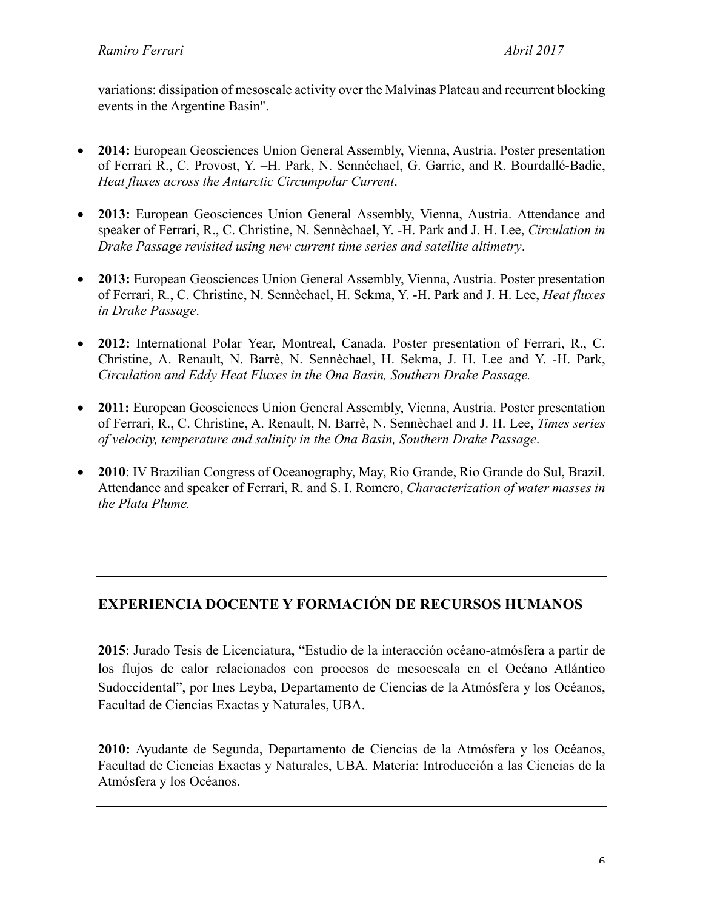variations: dissipation of mesoscale activity over the Malvinas Plateau and recurrent blocking events in the Argentine Basin".

- **2014:** European Geosciences Union General Assembly, Vienna, Austria. Poster presentation of Ferrari R., C. Provost, Y. –H. Park, N. Sennéchael, G. Garric, and R. Bourdallé-Badie, *Heat fluxes across the Antarctic Circumpolar Current*.
- **2013:** European Geosciences Union General Assembly, Vienna, Austria. Attendance and speaker of Ferrari, R., C. Christine, N. Sennèchael, Y. -H. Park and J. H. Lee, *Circulation in Drake Passage revisited using new current time series and satellite altimetry*.
- **2013:** European Geosciences Union General Assembly, Vienna, Austria. Poster presentation of Ferrari, R., C. Christine, N. Sennèchael, H. Sekma, Y. -H. Park and J. H. Lee, *Heat fluxes in Drake Passage*.
- **2012:** International Polar Year, Montreal, Canada. Poster presentation of Ferrari, R., C. Christine, A. Renault, N. Barrè, N. Sennèchael, H. Sekma, J. H. Lee and Y. -H. Park, *Circulation and Eddy Heat Fluxes in the Ona Basin, Southern Drake Passage.*
- **2011:** European Geosciences Union General Assembly, Vienna, Austria. Poster presentation of Ferrari, R., C. Christine, A. Renault, N. Barrè, N. Sennèchael and J. H. Lee, *Times series of velocity, temperature and salinity in the Ona Basin, Southern Drake Passage*.
- **2010**: IV Brazilian Congress of Oceanography, May, Rio Grande, Rio Grande do Sul, Brazil. Attendance and speaker of Ferrari, R. and S. I. Romero, *Characterization of water masses in the Plata Plume.*

#### **EXPERIENCIA DOCENTE Y FORMACIÓN DE RECURSOS HUMANOS**

**2015**: Jurado Tesis de Licenciatura, "Estudio de la interacción océano-atmósfera a partir de los flujos de calor relacionados con procesos de mesoescala en el Océano Atlántico Sudoccidental", por Ines Leyba, Departamento de Ciencias de la Atmósfera y los Océanos, Facultad de Ciencias Exactas y Naturales, UBA.

**2010:** Ayudante de Segunda, Departamento de Ciencias de la Atmósfera y los Océanos, Facultad de Ciencias Exactas y Naturales, UBA. Materia: Introducción a las Ciencias de la Atmósfera y los Océanos.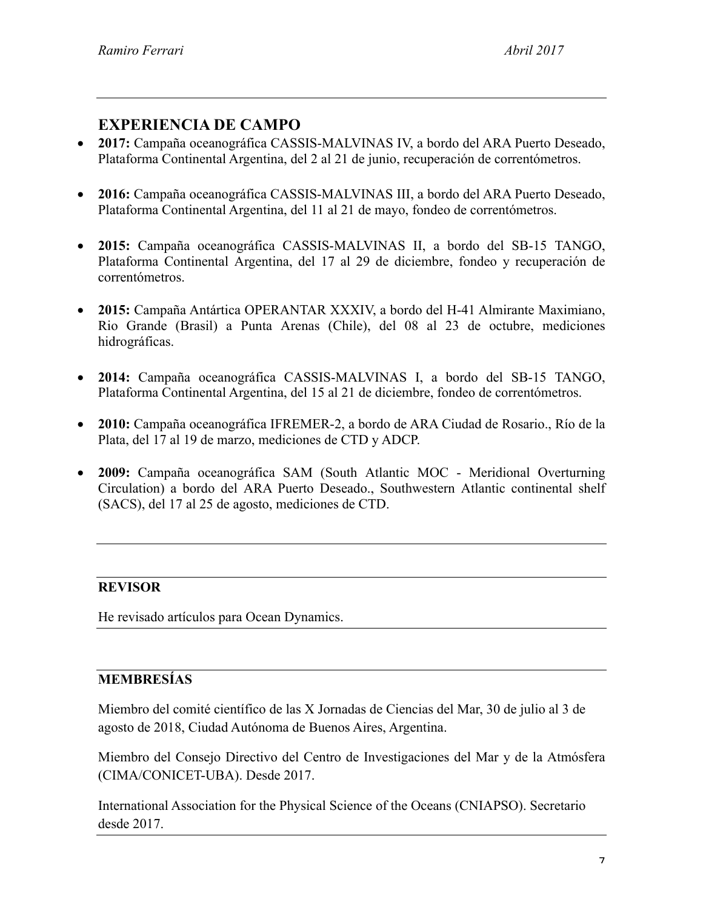#### **EXPERIENCIA DE CAMPO**

- **2017:** Campaña oceanográfica CASSIS-MALVINAS IV, a bordo del ARA Puerto Deseado, Plataforma Continental Argentina, del 2 al 21 de junio, recuperación de correntómetros.
- **2016:** Campaña oceanográfica CASSIS-MALVINAS III, a bordo del ARA Puerto Deseado, Plataforma Continental Argentina, del 11 al 21 de mayo, fondeo de correntómetros.
- **2015:** Campaña oceanográfica CASSIS-MALVINAS II, a bordo del SB-15 TANGO, Plataforma Continental Argentina, del 17 al 29 de diciembre, fondeo y recuperación de correntómetros.
- **2015:** Campaña Antártica OPERANTAR XXXIV, a bordo del H-41 Almirante Maximiano, Rio Grande (Brasil) a Punta Arenas (Chile), del 08 al 23 de octubre, mediciones hidrográficas.
- **2014:** Campaña oceanográfica CASSIS-MALVINAS I, a bordo del SB-15 TANGO, Plataforma Continental Argentina, del 15 al 21 de diciembre, fondeo de correntómetros.
- **2010:** Campaña oceanográfica IFREMER-2, a bordo de ARA Ciudad de Rosario., Río de la Plata, del 17 al 19 de marzo, mediciones de CTD y ADCP.
- **2009:** Campaña oceanográfica SAM (South Atlantic MOC Meridional Overturning Circulation) a bordo del ARA Puerto Deseado., Southwestern Atlantic continental shelf (SACS), del 17 al 25 de agosto, mediciones de CTD.

#### **REVISOR**

He revisado artículos para Ocean Dynamics.

#### **MEMBRESÍAS**

Miembro del comité científico de las X Jornadas de Ciencias del Mar, 30 de julio al 3 de agosto de 2018, Ciudad Autónoma de Buenos Aires, Argentina.

Miembro del Consejo Directivo del Centro de Investigaciones del Mar y de la Atmósfera (CIMA/CONICET-UBA). Desde 2017.

International Association for the Physical Science of the Oceans (CNIAPSO). Secretario desde 2017.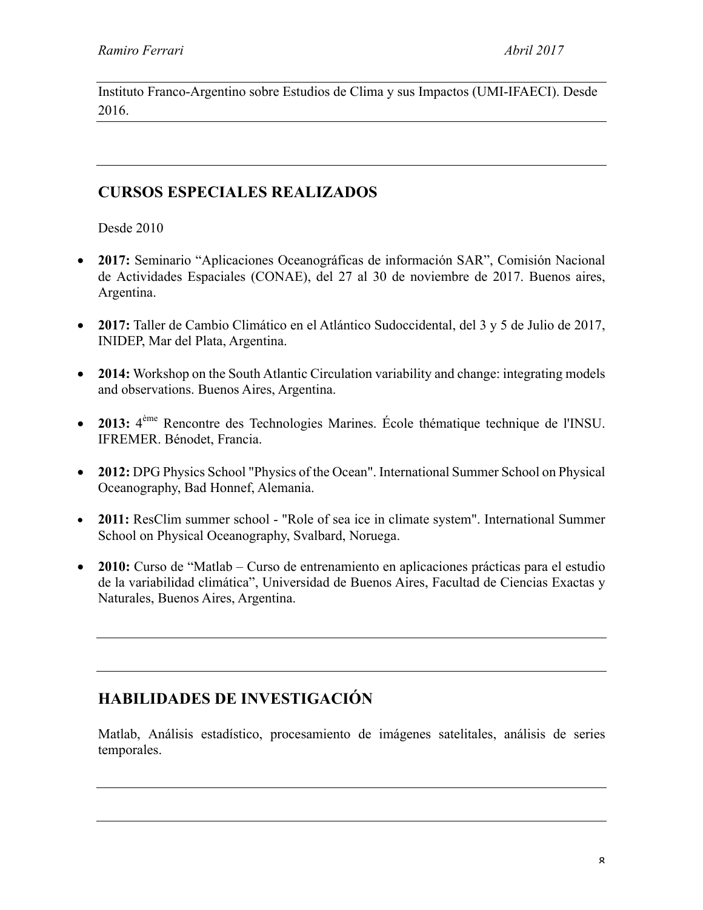Instituto Franco-Argentino sobre Estudios de Clima y sus Impactos (UMI-IFAECI). Desde 2016.

#### **CURSOS ESPECIALES REALIZADOS**

Desde 2010

- **2017:** Seminario "Aplicaciones Oceanográficas de información SAR", Comisión Nacional de Actividades Espaciales (CONAE), del 27 al 30 de noviembre de 2017. Buenos aires, Argentina.
- **2017:** Taller de Cambio Climático en el Atlántico Sudoccidental, del 3 y 5 de Julio de 2017, INIDEP, Mar del Plata, Argentina.
- **2014:** Workshop on the South Atlantic Circulation variability and change: integrating models and observations. Buenos Aires, Argentina.
- **2013:** 4ème Rencontre des Technologies Marines. École thématique technique de l'INSU. IFREMER. Bénodet, Francia.
- **2012:** DPG Physics School "Physics of the Ocean". International Summer School on Physical Oceanography, Bad Honnef, Alemania.
- **2011:** ResClim summer school "Role of sea ice in climate system". International Summer School on Physical Oceanography, Svalbard, Noruega.
- **2010:** Curso de "Matlab Curso de entrenamiento en aplicaciones prácticas para el estudio de la variabilidad climática", Universidad de Buenos Aires, Facultad de Ciencias Exactas y Naturales, Buenos Aires, Argentina.

## **HABILIDADES DE INVESTIGACIÓN**

Matlab, Análisis estadístico, procesamiento de imágenes satelitales, análisis de series temporales.